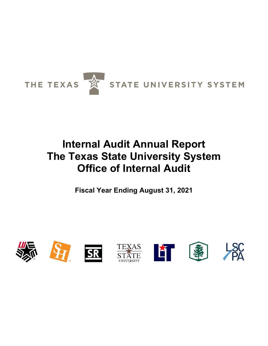

# **Internal Audit Annual Report The Texas State University System Office of Internal Audit**

**Fiscal Year Ending August 31, 2021**

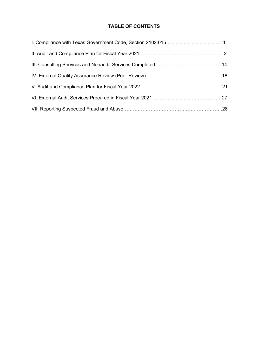# **TABLE OF CONTENTS**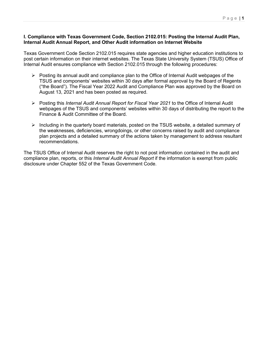#### **I. Compliance with Texas Government Code, Section 2102.015: Posting the Internal Audit Plan, Internal Audit Annual Report, and Other Audit information on Internet Website**

Texas Government Code Section 2102.015 requires state agencies and higher education institutions to post certain information on their internet websites. The Texas State University System (TSUS) Office of Internal Audit ensures compliance with Section 2102.015 through the following procedures:

- $\triangleright$  Posting its annual audit and compliance plan to the Office of Internal Audit webpages of the TSUS and components' websites within 30 days after formal approval by the Board of Regents ("the Board"). The Fiscal Year 2022 Audit and Compliance Plan was approved by the Board on August 13, 2021 and has been posted as required.
- Posting this *Internal Audit Annual Report for Fiscal Year 2021* to the Office of Internal Audit webpages of the TSUS and components' websites within 30 days of distributing the report to the Finance & Audit Committee of the Board.
- $\triangleright$  Including in the quarterly board materials, posted on the TSUS website, a detailed summary of the weaknesses, deficiencies, wrongdoings, or other concerns raised by audit and compliance plan projects and a detailed summary of the actions taken by management to address resultant recommendations.

The TSUS Office of Internal Audit reserves the right to not post information contained in the audit and compliance plan, reports, or this *Internal Audit Annual Report* if the information is exempt from public disclosure under Chapter 552 of the Texas Government Code.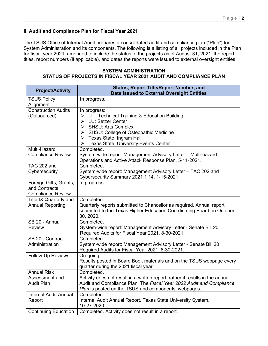#### **II. Audit and Compliance Plan for Fiscal Year 2021**

The TSUS Office of Internal Audit prepares a consolidated audit and compliance plan ("Plan") for System Administration and its components. The following is a listing of all projects included in the Plan for fiscal year 2021, amended to include the status of the projects as of August 31, 2021, the report titles, report numbers (if applicable), and dates the reports were issued to external oversight entities.

**SYSTEM ADMINISTRATION STATUS OF PROJECTS IN FISCAL YEAR 2021 AUDIT AND COMPLIANCE PLAN**

| <b>Project/Activity</b>                                             | <b>Status, Report Title/Report Number, and</b><br>Date Issued to External Oversight Entities                                                                                                                                                                                       |
|---------------------------------------------------------------------|------------------------------------------------------------------------------------------------------------------------------------------------------------------------------------------------------------------------------------------------------------------------------------|
| <b>TSUS Policy</b><br>Alignment                                     | In progress.                                                                                                                                                                                                                                                                       |
| <b>Construction Audits</b><br>(Outsourced)                          | In progress:<br>> LIT: Technical Training & Education Building<br>LU: Setzer Center<br>$\blacktriangleright$<br><b>SHSU: Arts Complex</b><br>➤<br>SHSU: College of Osteopathic Medicine<br>➤<br>Texas State: Ingram Hall<br>➤<br><b>Texas State: University Events Center</b><br>➤ |
| Multi-Hazard<br><b>Compliance Review</b>                            | Completed.<br>System-wide report: Management Advisory Letter - Multi-hazard<br>Operations and Active Attack Response Plan, 5-11-2021.                                                                                                                                              |
| <b>TAC 202 and</b><br>Cybersecurity                                 | Completed.<br>System-wide report: Management Advisory Letter - TAC 202 and<br>Cybersecurity Summary 2021 1 14, 1-15-2021.                                                                                                                                                          |
| Foreign Gifts, Grants,<br>and Contracts<br><b>Compliance Review</b> | In progress.                                                                                                                                                                                                                                                                       |
| <b>Title IX Quarterly and</b><br><b>Annual Reporting</b>            | Completed.<br>Quarterly reports submitted to Chancellor as required. Annual report<br>submitted to the Texas Higher Education Coordinating Board on October<br>30, 2020.                                                                                                           |
| SB 20 - Annual<br><b>Review</b>                                     | Completed.<br>System-wide report: Management Advisory Letter - Senate Bill 20<br>Required Audits for Fiscal Year 2021, 8-30-2021.                                                                                                                                                  |
| SB 20 - Contract<br>Administration                                  | Completed.<br>System-wide report: Management Advisory Letter - Senate Bill 20<br>Required Audits for Fiscal Year 2021, 8-30-2021.                                                                                                                                                  |
| Follow-Up Reviews                                                   | On-going.<br>Results posted in Board Book materials and on the TSUS webpage every<br>quarter during the 2021 fiscal year.                                                                                                                                                          |
| <b>Annual Risk</b><br>Assessment and<br><b>Audit Plan</b>           | Completed.<br>Activity does not result in a written report, rather it results in the annual<br>Audit and Compliance Plan. The Fiscal Year 2022 Audit and Compliance<br>Plan is posted on the TSUS and components' webpages.                                                        |
| <b>Internal Audit Annual</b><br>Report                              | Completed.<br>Internal Audit Annual Report, Texas State University System,<br>10-27-2020.                                                                                                                                                                                          |
| <b>Continuing Education</b>                                         | Completed. Activity does not result in a report.                                                                                                                                                                                                                                   |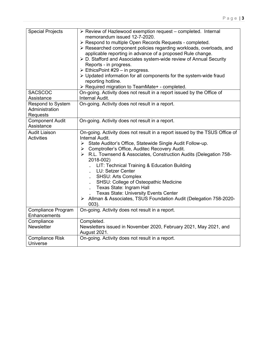| <b>Special Projects</b>                         | > Review of Hazlewood exemption request - completed. Internal<br>memorandum issued 12-7-2020.<br>> Respond to multiple Open Records Requests - completed.<br>> Researched component policies regarding workloads, overloads, and<br>applicable reporting in advance of a proposed Rule change.<br>> D. Stafford and Associates system-wide review of Annual Security<br>Reports - in progress.<br>EthicsPoint #29 – in progress.<br>> Updated information for all components for the system-wide fraud<br>reporting hotline.<br>> Required migration to TeamMate+ - completed.                               |
|-------------------------------------------------|--------------------------------------------------------------------------------------------------------------------------------------------------------------------------------------------------------------------------------------------------------------------------------------------------------------------------------------------------------------------------------------------------------------------------------------------------------------------------------------------------------------------------------------------------------------------------------------------------------------|
| <b>SACSCOC</b><br>Assistance                    | On-going. Activity does not result in a report issued by the Office of<br>Internal Audit.                                                                                                                                                                                                                                                                                                                                                                                                                                                                                                                    |
| Respond to System<br>Administration<br>Requests | On-going. Activity does not result in a report.                                                                                                                                                                                                                                                                                                                                                                                                                                                                                                                                                              |
| <b>Component Audit</b><br>Assistance            | On-going. Activity does not result in a report.                                                                                                                                                                                                                                                                                                                                                                                                                                                                                                                                                              |
| <b>Audit Liaison</b><br><b>Activities</b>       | On-going. Activity does not result in a report issued by the TSUS Office of<br>Internal Audit.<br>> State Auditor's Office, Statewide Single Audit Follow-up.<br>> Comptroller's Office, Auditec Recovery Audit.<br>> R.L. Townsend & Associates, Construction Audits (Delegation 758-<br>2018-002)<br>LIT: Technical Training & Education Building<br>LU: Setzer Center<br><b>SHSU: Arts Complex</b><br>SHSU: College of Osteopathic Medicine<br>Texas State: Ingram Hall<br><b>Texas State: University Events Center</b><br>> Allman & Associates, TSUS Foundation Audit (Delegation 758-2020-<br>$003$ ). |
| Compliance Program<br>Enhancements              | On-going. Activity does not result in a report.                                                                                                                                                                                                                                                                                                                                                                                                                                                                                                                                                              |
| Compliance<br><b>Newsletter</b>                 | Completed.<br>Newsletters issued in November 2020, February 2021, May 2021, and<br><b>August 2021.</b>                                                                                                                                                                                                                                                                                                                                                                                                                                                                                                       |
| <b>Compliance Risk</b><br>Universe              | On-going. Activity does not result in a report.                                                                                                                                                                                                                                                                                                                                                                                                                                                                                                                                                              |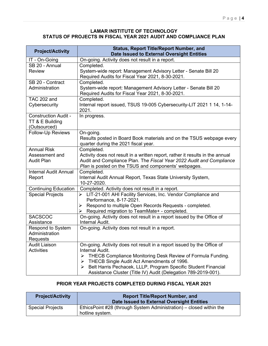#### **LAMAR INSTITUTE OF TECHNOLOGY STATUS OF PROJECTS IN FISCAL YEAR 2021 AUDIT AND COMPLIANCE PLAN**

| <b>Project/Activity</b>            | <b>Status, Report Title/Report Number, and</b><br>Date Issued to External Oversight Entities |
|------------------------------------|----------------------------------------------------------------------------------------------|
| IT - On-Going                      | On-going. Activity does not result in a report.                                              |
| SB 20 - Annual                     | Completed.                                                                                   |
| <b>Review</b>                      | System-wide report: Management Advisory Letter - Senate Bill 20                              |
|                                    | Required Audits for Fiscal Year 2021, 8-30-2021.                                             |
| SB 20 - Contract                   | Completed.                                                                                   |
| Administration                     | System-wide report: Management Advisory Letter - Senate Bill 20                              |
| TAC 202 and                        | Required Audits for Fiscal Year 2021, 8-30-2021.<br>Completed.                               |
| Cybersecurity                      | Internal report issued, TSUS 19-005 Cybersecurity-LIT 2021 1 14, 1-14-                       |
|                                    | 2021.                                                                                        |
| <b>Construction Audit -</b>        | In progress.                                                                                 |
| TT & E Building                    |                                                                                              |
| (Outsourced)                       |                                                                                              |
| <b>Follow-Up Reviews</b>           | On-going.                                                                                    |
|                                    | Results posted in Board Book materials and on the TSUS webpage every                         |
| <b>Annual Risk</b>                 | quarter during the 2021 fiscal year.<br>Completed.                                           |
| Assessment and                     | Activity does not result in a written report, rather it results in the annual                |
| <b>Audit Plan</b>                  | Audit and Compliance Plan. The Fiscal Year 2022 Audit and Compliance                         |
|                                    | Plan is posted on the TSUS and components' webpages.                                         |
| <b>Internal Audit Annual</b>       | Completed.                                                                                   |
| Report                             | Internal Audit Annual Report, Texas State University System,                                 |
|                                    | 10-27-2020.                                                                                  |
| <b>Continuing Education</b>        | Completed. Activity does not result in a report.                                             |
| <b>Special Projects</b>            | > LIT-21-001 AHI Facility Services, Inc. Vendor Compliance and<br>Performance, 8-17-2021.    |
|                                    | Respond to multiple Open Records Requests - completed.<br>$\blacktriangleright$              |
|                                    | ▶ Required migration to TeamMate+ - completed.                                               |
| <b>SACSCOC</b>                     | On-going. Activity does not result in a report issued by the Office of                       |
| Assistance                         | Internal Audit.                                                                              |
| <b>Respond to System</b>           | On-going. Activity does not result in a report.                                              |
| Administration                     |                                                                                              |
| Requests                           |                                                                                              |
| <b>Audit Liaison</b><br>Activities | On-going. Activity does not result in a report issued by the Office of<br>Internal Audit.    |
|                                    | THECB Compliance Monitoring Desk Review of Formula Funding.<br>$\blacktriangleright$         |
|                                    | THECB Single Audit Act Amendments of 1996.<br>➤                                              |
|                                    | Belt Harris Pechacek, LLLP, Program Specific Student Financial<br>➤                          |
|                                    | Assistance Cluster (Title IV) Audit (Delegation 789-2019-001).                               |

# **PRIOR YEAR PROJECTS COMPLETED DURING FISCAL YEAR 2021**

| <b>Project/Activity</b> | <b>Report Title/Report Number, and</b><br>Date Issued to External Oversight Entities   |
|-------------------------|----------------------------------------------------------------------------------------|
| <b>Special Projects</b> | EthicsPoint #28 (through System Administration) – closed within the<br>hotline system. |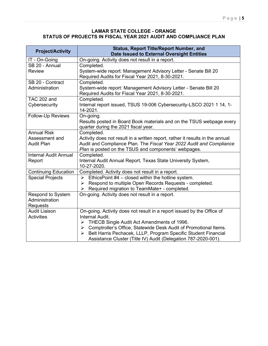#### **LAMAR STATE COLLEGE - ORANGE STATUS OF PROJECTS IN FISCAL YEAR 2021 AUDIT AND COMPLIANCE PLAN**

| <b>Project/Activity</b>                                   | <b>Status, Report Title/Report Number, and</b><br><b>Date Issued to External Oversight Entities</b>                                                                                                                                                                                                                                                            |
|-----------------------------------------------------------|----------------------------------------------------------------------------------------------------------------------------------------------------------------------------------------------------------------------------------------------------------------------------------------------------------------------------------------------------------------|
| IT - On-Going                                             | On-going. Activity does not result in a report.                                                                                                                                                                                                                                                                                                                |
| SB 20 - Annual<br><b>Review</b>                           | Completed.<br>System-wide report: Management Advisory Letter - Senate Bill 20<br>Required Audits for Fiscal Year 2021, 8-30-2021.                                                                                                                                                                                                                              |
| SB 20 - Contract<br>Administration                        | Completed.<br>System-wide report: Management Advisory Letter - Senate Bill 20<br>Required Audits for Fiscal Year 2021, 8-30-2021.                                                                                                                                                                                                                              |
| <b>TAC 202 and</b><br>Cybersecurity                       | Completed.<br>Internal report issued, TSUS 19-006 Cybersecurity-LSCO 2021 1 14, 1-<br>14-2021.                                                                                                                                                                                                                                                                 |
| Follow-Up Reviews                                         | On-going.<br>Results posted in Board Book materials and on the TSUS webpage every<br>quarter during the 2021 fiscal year.                                                                                                                                                                                                                                      |
| <b>Annual Risk</b><br>Assessment and<br><b>Audit Plan</b> | Completed.<br>Activity does not result in a written report, rather it results in the annual<br>Audit and Compliance Plan. The Fiscal Year 2022 Audit and Compliance<br>Plan is posted on the TSUS and components' webpages.                                                                                                                                    |
| <b>Internal Audit Annual</b><br>Report                    | Completed.<br>Internal Audit Annual Report, Texas State University System,<br>10-27-2020.                                                                                                                                                                                                                                                                      |
| <b>Continuing Education</b>                               | Completed. Activity does not result in a report.                                                                                                                                                                                                                                                                                                               |
| <b>Special Projects</b>                                   | EthicsPoint #4 - closed within the hotline system.<br>➤<br>Respond to multiple Open Records Requests - completed.<br>➤<br>> Required migration to TeamMate+ - completed.                                                                                                                                                                                       |
| <b>Respond to System</b><br>Administration<br>Requests    | On-going. Activity does not result in a report.                                                                                                                                                                                                                                                                                                                |
| <b>Audit Liaison</b><br><b>Activities</b>                 | On-going. Activity does not result in a report issued by the Office of<br>Internal Audit.<br>THECB Single Audit Act Amendments of 1996.<br>≻<br>Comptroller's Office, Statewide Desk Audit of Promotional Items.<br>≻<br>Belt Harris Pechacek, LLLP, Program Specific Student Financial<br>⋗<br>Assistance Cluster (Title IV) Audit (Delegation 787-2020-001). |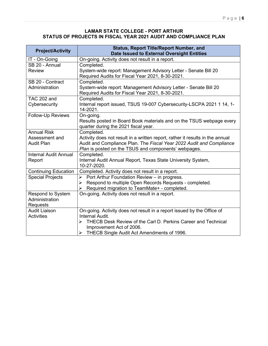#### **LAMAR STATE COLLEGE - PORT ARTHUR STATUS OF PROJECTS IN FISCAL YEAR 2021 AUDIT AND COMPLIANCE PLAN**

| <b>Project/Activity</b>                   | <b>Status, Report Title/Report Number, and</b><br>Date Issued to External Oversight Entities |
|-------------------------------------------|----------------------------------------------------------------------------------------------|
| IT - On-Going                             | On-going. Activity does not result in a report.                                              |
| SB 20 - Annual                            | Completed.                                                                                   |
| <b>Review</b>                             | System-wide report: Management Advisory Letter - Senate Bill 20                              |
|                                           | Required Audits for Fiscal Year 2021, 8-30-2021.                                             |
| SB 20 - Contract                          | Completed.                                                                                   |
| Administration                            | System-wide report: Management Advisory Letter - Senate Bill 20                              |
| <b>TAC 202 and</b>                        | Required Audits for Fiscal Year 2021, 8-30-2021.                                             |
| Cybersecurity                             | Completed.<br>Internal report issued, TSUS 19-007 Cybersecurity-LSCPA 2021 1 14, 1-          |
|                                           | 14-2021.                                                                                     |
| Follow-Up Reviews                         | On-going.                                                                                    |
|                                           | Results posted in Board Book materials and on the TSUS webpage every                         |
|                                           | quarter during the 2021 fiscal year.                                                         |
| <b>Annual Risk</b>                        | Completed.                                                                                   |
| Assessment and                            | Activity does not result in a written report, rather it results in the annual                |
| <b>Audit Plan</b>                         | Audit and Compliance Plan. The Fiscal Year 2022 Audit and Compliance                         |
|                                           | Plan is posted on the TSUS and components' webpages.                                         |
| <b>Internal Audit Annual</b><br>Report    | Completed.<br>Internal Audit Annual Report, Texas State University System,                   |
|                                           | 10-27-2020.                                                                                  |
| <b>Continuing Education</b>               | Completed. Activity does not result in a report.                                             |
| <b>Special Projects</b>                   | $\triangleright$ Port Arthur Foundation Review – in progress.                                |
|                                           | Respond to multiple Open Records Requests - completed.<br>➤                                  |
|                                           | Required migration to TeamMate+ - completed.<br>➤                                            |
| Respond to System                         | On-going. Activity does not result in a report.                                              |
| Administration                            |                                                                                              |
| Requests                                  |                                                                                              |
| <b>Audit Liaison</b><br><b>Activities</b> | On-going. Activity does not result in a report issued by the Office of<br>Internal Audit.    |
|                                           | THECB Desk Review of the Carl D. Perkins Career and Technical<br>⋗                           |
|                                           | Improvement Act of 2006.                                                                     |
|                                           | > THECB Single Audit Act Amendments of 1996.                                                 |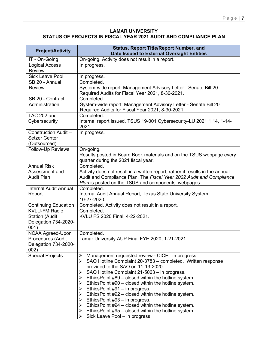#### **LAMAR UNIVERSITY STATUS OF PROJECTS IN FISCAL YEAR 2021 AUDIT AND COMPLIANCE PLAN**

| <b>Project/Activity</b>                | <b>Status, Report Title/Report Number, and</b><br><b>Date Issued to External Oversight Entities</b>                 |
|----------------------------------------|---------------------------------------------------------------------------------------------------------------------|
| IT - On-Going                          | On-going. Activity does not result in a report.                                                                     |
| <b>Logical Access</b><br><b>Review</b> | In progress.                                                                                                        |
| <b>Sick Leave Pool</b>                 | In progress.                                                                                                        |
| SB 20 - Annual                         | Completed.                                                                                                          |
| <b>Review</b>                          | System-wide report: Management Advisory Letter - Senate Bill 20<br>Required Audits for Fiscal Year 2021, 8-30-2021. |
| SB 20 - Contract                       | Completed.                                                                                                          |
| Administration                         | System-wide report: Management Advisory Letter - Senate Bill 20<br>Required Audits for Fiscal Year 2021, 8-30-2021. |
| TAC 202 and                            | Completed.                                                                                                          |
| Cybersecurity                          | Internal report issued, TSUS 19-001 Cybersecurity-LU 2021 1 14, 1-14-<br>2021.                                      |
| Construction Audit -                   | In progress.                                                                                                        |
| <b>Setzer Center</b>                   |                                                                                                                     |
| (Outsourced)                           |                                                                                                                     |
| Follow-Up Reviews                      | On-going.                                                                                                           |
|                                        | Results posted in Board Book materials and on the TSUS webpage every<br>quarter during the 2021 fiscal year.        |
| <b>Annual Risk</b>                     | Completed.                                                                                                          |
| Assessment and                         | Activity does not result in a written report, rather it results in the annual                                       |
| <b>Audit Plan</b>                      | Audit and Compliance Plan. The Fiscal Year 2022 Audit and Compliance                                                |
|                                        | Plan is posted on the TSUS and components' webpages.                                                                |
| <b>Internal Audit Annual</b>           | Completed.                                                                                                          |
| Report                                 | Internal Audit Annual Report, Texas State University System,                                                        |
|                                        | 10-27-2020.                                                                                                         |
| <b>Continuing Education</b>            | Completed. Activity does not result in a report.                                                                    |
| <b>KVLU-FM Radio</b>                   | Completed.                                                                                                          |
| <b>Station (Audit</b>                  | KVLU FS 2020 Final, 4-22-2021.                                                                                      |
| Delegation 734-2020-<br>001)           |                                                                                                                     |
| <b>NCAA Agreed-Upon</b>                | Completed.                                                                                                          |
| Procedures (Audit                      | Lamar University AUP Final FYE 2020, 1-21-2021.                                                                     |
| Delegation 734-2020-                   |                                                                                                                     |
| 002)                                   |                                                                                                                     |
| <b>Special Projects</b>                | Management requested review - CICE: in progress.<br>➤                                                               |
|                                        | SAO Hotline Complaint 20-3783 - completed. Written response<br>➤                                                    |
|                                        | provided to the SAO on 11-13-2020.                                                                                  |
|                                        | SAO Hotline Complaint 21-5063 - in progress.<br>➤                                                                   |
|                                        | EthicsPoint #89 – closed within the hotline system.<br>➤                                                            |
|                                        | EthicsPoint #90 – closed within the hotline system.<br>➤                                                            |
|                                        | EthicsPoint $#91 - in$ progress.<br>➤<br>EthicsPoint #92 – closed within the hotline system.<br>➤                   |
|                                        | EthicsPoint #93 – in progress.                                                                                      |
|                                        | EthicsPoint #94 – closed within the hotline system.<br>➤                                                            |
|                                        | $\triangleright$ Ethics Point #95 – closed within the hotline system.                                               |
|                                        | Sick Leave Pool - in progress.<br>➤                                                                                 |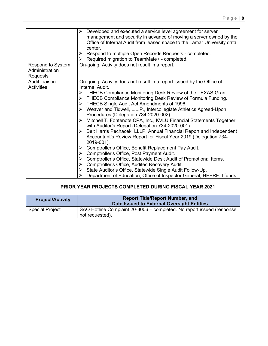|                                                        | Developed and executed a service level agreement for server<br>➤<br>management and security in advance of moving a server owned by the<br>Office of Internal Audit from leased space to the Lamar University data<br>center.<br>Respond to multiple Open Records Requests - completed.<br>➤<br>Required migration to TeamMate+ - completed.<br>➤                                                                                                                                                                                                                                                                                                                                                                                                                                                                                                                                                                                                                                                                                                                                                    |
|--------------------------------------------------------|-----------------------------------------------------------------------------------------------------------------------------------------------------------------------------------------------------------------------------------------------------------------------------------------------------------------------------------------------------------------------------------------------------------------------------------------------------------------------------------------------------------------------------------------------------------------------------------------------------------------------------------------------------------------------------------------------------------------------------------------------------------------------------------------------------------------------------------------------------------------------------------------------------------------------------------------------------------------------------------------------------------------------------------------------------------------------------------------------------|
| <b>Respond to System</b><br>Administration<br>Requests | On-going. Activity does not result in a report.                                                                                                                                                                                                                                                                                                                                                                                                                                                                                                                                                                                                                                                                                                                                                                                                                                                                                                                                                                                                                                                     |
| <b>Audit Liaison</b><br><b>Activities</b>              | On-going. Activity does not result in a report issued by the Office of<br>Internal Audit.<br>THECB Compliance Monitoring Desk Review of the TEXAS Grant.<br>➤<br>THECB Compliance Monitoring Desk Review of Formula Funding.<br>➤<br>THECB Single Audit Act Amendments of 1996.<br>≻<br>Weaver and Tidwell, L.L.P., Intercollegiate Athletics Agreed-Upon<br>➤<br>Procedures (Delegation 734-2020-002).<br>Mitchell T. Fontenote CPA, Inc., KVLU Financial Statements Together<br>➤<br>with Auditor's Report (Delegation 734-2020-001).<br>Belt Harris Pechacek, LLLP, Annual Financial Report and Independent<br>➤<br>Accountant's Review Report for Fiscal Year 2019 (Delegation 734-<br>2019-001).<br>Comptroller's Office, Benefit Replacement Pay Audit.<br>➤<br>Comptroller's Office, Post Payment Audit.<br>➤<br>Comptroller's Office, Statewide Desk Audit of Promotional Items.<br>➤<br>Comptroller's Office, Auditec Recovery Audit.<br>➤<br>State Auditor's Office, Statewide Single Audit Follow-Up.<br>➤<br>Department of Education, Office of Inspector General, HEERF II funds.<br>⋗ |

# **PRIOR YEAR PROJECTS COMPLETED DURING FISCAL YEAR 2021**

| <b>Project/Activity</b> | <b>Report Title/Report Number, and</b><br>Date Issued to External Oversight Entities     |
|-------------------------|------------------------------------------------------------------------------------------|
| <b>Special Project</b>  | SAO Hotline Complaint 20-3006 – completed. No report issued (response<br>not requested). |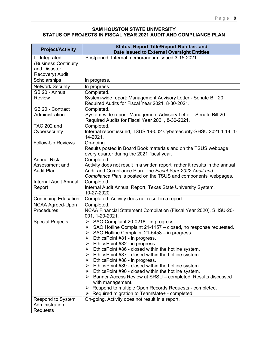#### **SAM HOUSTON STATE UNIVERSITY STATUS OF PROJECTS IN FISCAL YEAR 2021 AUDIT AND COMPLIANCE PLAN**

| <b>Project/Activity</b>                                                         | <b>Status, Report Title/Report Number, and</b><br>Date Issued to External Oversight Entities                                                                                                                                                                                                                                                                                                                                                                                                                                                                                                                                                                                                                                                                                                                         |
|---------------------------------------------------------------------------------|----------------------------------------------------------------------------------------------------------------------------------------------------------------------------------------------------------------------------------------------------------------------------------------------------------------------------------------------------------------------------------------------------------------------------------------------------------------------------------------------------------------------------------------------------------------------------------------------------------------------------------------------------------------------------------------------------------------------------------------------------------------------------------------------------------------------|
| <b>IT Integrated</b><br>(Business Continuity<br>and Disaster<br>Recovery) Audit | Postponed. Internal memorandum issued 3-15-2021.                                                                                                                                                                                                                                                                                                                                                                                                                                                                                                                                                                                                                                                                                                                                                                     |
| Scholarships                                                                    | In progress.                                                                                                                                                                                                                                                                                                                                                                                                                                                                                                                                                                                                                                                                                                                                                                                                         |
| <b>Network Security</b>                                                         | In progress.                                                                                                                                                                                                                                                                                                                                                                                                                                                                                                                                                                                                                                                                                                                                                                                                         |
| SB 20 - Annual                                                                  | Completed.                                                                                                                                                                                                                                                                                                                                                                                                                                                                                                                                                                                                                                                                                                                                                                                                           |
| <b>Review</b>                                                                   | System-wide report: Management Advisory Letter - Senate Bill 20<br>Required Audits for Fiscal Year 2021, 8-30-2021.                                                                                                                                                                                                                                                                                                                                                                                                                                                                                                                                                                                                                                                                                                  |
| SB 20 - Contract                                                                | Completed.                                                                                                                                                                                                                                                                                                                                                                                                                                                                                                                                                                                                                                                                                                                                                                                                           |
| Administration                                                                  | System-wide report: Management Advisory Letter - Senate Bill 20<br>Required Audits for Fiscal Year 2021, 8-30-2021.                                                                                                                                                                                                                                                                                                                                                                                                                                                                                                                                                                                                                                                                                                  |
| <b>TAC 202 and</b><br>Cybersecurity                                             | Completed.<br>Internal report issued, TSUS 19-002 Cybersecurity-SHSU 2021 1 14, 1-<br>14-2021.                                                                                                                                                                                                                                                                                                                                                                                                                                                                                                                                                                                                                                                                                                                       |
| <b>Follow-Up Reviews</b>                                                        | On-going.<br>Results posted in Board Book materials and on the TSUS webpage<br>every quarter during the 2021 fiscal year.                                                                                                                                                                                                                                                                                                                                                                                                                                                                                                                                                                                                                                                                                            |
| <b>Annual Risk</b>                                                              | Completed.                                                                                                                                                                                                                                                                                                                                                                                                                                                                                                                                                                                                                                                                                                                                                                                                           |
| Assessment and                                                                  | Activity does not result in a written report, rather it results in the annual                                                                                                                                                                                                                                                                                                                                                                                                                                                                                                                                                                                                                                                                                                                                        |
| <b>Audit Plan</b>                                                               | Audit and Compliance Plan. The Fiscal Year 2022 Audit and<br>Compliance Plan is posted on the TSUS and components' webpages.                                                                                                                                                                                                                                                                                                                                                                                                                                                                                                                                                                                                                                                                                         |
| <b>Internal Audit Annual</b><br>Report                                          | Completed.<br>Internal Audit Annual Report, Texas State University System,<br>10-27-2020.                                                                                                                                                                                                                                                                                                                                                                                                                                                                                                                                                                                                                                                                                                                            |
| <b>Continuing Education</b>                                                     | Completed. Activity does not result in a report.                                                                                                                                                                                                                                                                                                                                                                                                                                                                                                                                                                                                                                                                                                                                                                     |
| <b>NCAA Agreed-Upon</b><br>Procedures                                           | Completed.<br>NCAA Financial Statement Compilation (Fiscal Year 2020), SHSU-20-<br>001, 1-20-2021.                                                                                                                                                                                                                                                                                                                                                                                                                                                                                                                                                                                                                                                                                                                   |
| <b>Special Projects</b>                                                         | SAO Complaint 20-0218 - in progress.<br>➤<br>SAO Hotline Complaint 21-1157 - closed, no response requested.<br>➤<br>SAO Hotline Complaint 21-5458 - in progress.<br>➤<br>EthicsPoint #81 - in progress.<br>EthicsPoint #82 - in progress.<br>➤<br>$\triangleright$ EthicsPoint #86 - closed within the hotline system.<br>$\triangleright$ Ethics Point #87 - closed within the hotline system.<br>EthicsPoint #88 - in progress.<br>$\triangleright$ Ethics Point #89 - closed within the hotline system.<br>$\triangleright$ Ethics Point #90 - closed within the hotline system.<br>> Banner Access Review at SRSU - completed. Results discussed<br>with management.<br>$\triangleright$ Respond to multiple Open Records Requests - completed.<br>$\triangleright$ Required migration to TeamMate+ - completed. |
| Respond to System<br>Administration                                             | On-going. Activity does not result in a report.                                                                                                                                                                                                                                                                                                                                                                                                                                                                                                                                                                                                                                                                                                                                                                      |
| Requests                                                                        |                                                                                                                                                                                                                                                                                                                                                                                                                                                                                                                                                                                                                                                                                                                                                                                                                      |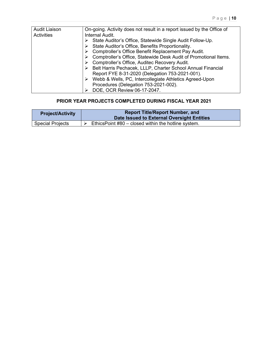| <b>Audit Liaison</b> | On-going. Activity does not result in a report issued by the Office of |
|----------------------|------------------------------------------------------------------------|
| Activities           | Internal Audit.                                                        |
|                      | State Auditor's Office, Statewide Single Audit Follow-Up.              |
|                      | State Auditor's Office, Benefits Proportionality.                      |
|                      | Comptroller's Office Benefit Replacement Pay Audit.                    |
|                      | Comptroller's Office, Statewide Desk Audit of Promotional Items.       |
|                      | Comptroller's Office, Auditec Recovery Audit.                          |
|                      | Belt Harris Pechacek, LLLP, Charter School Annual Financial            |
|                      | Report FYE 8-31-2020 (Delegation 753-2021-001).                        |
|                      | Webb & Wells, PC, Intercollegiate Athletics Agreed-Upon                |
|                      | Procedures (Delegation 753-2021-002).                                  |
|                      | DOE, OCR Review 06-17-2047.                                            |

# **PRIOR YEAR PROJECTS COMPLETED DURING FISCAL YEAR 2021**

| <b>Project/Activity</b> | <b>Report Title/Report Number, and</b><br>Date Issued to External Oversight Entities |
|-------------------------|--------------------------------------------------------------------------------------|
| <b>Special Projects</b> | EthicsPoint #80 – closed within the hotline system.                                  |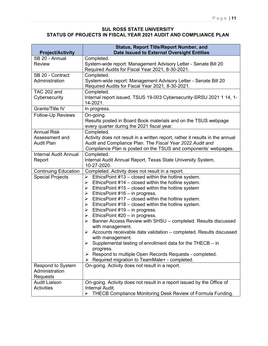#### **SUL ROSS STATE UNIVERSITY STATUS OF PROJECTS IN FISCAL YEAR 2021 AUDIT AND COMPLIANCE PLAN**

| <b>Project/Activity</b>                                   | <b>Status, Report Title/Report Number, and</b><br>Date Issued to External Oversight Entities                                                                                                                                                                                                                                                                                                                                                                                                                                                                                                                                                                                                                                                                                                                                         |
|-----------------------------------------------------------|--------------------------------------------------------------------------------------------------------------------------------------------------------------------------------------------------------------------------------------------------------------------------------------------------------------------------------------------------------------------------------------------------------------------------------------------------------------------------------------------------------------------------------------------------------------------------------------------------------------------------------------------------------------------------------------------------------------------------------------------------------------------------------------------------------------------------------------|
| SB 20 - Annual                                            | Completed.                                                                                                                                                                                                                                                                                                                                                                                                                                                                                                                                                                                                                                                                                                                                                                                                                           |
| <b>Review</b>                                             | System-wide report: Management Advisory Letter - Senate Bill 20<br>Required Audits for Fiscal Year 2021, 8-30-2021.                                                                                                                                                                                                                                                                                                                                                                                                                                                                                                                                                                                                                                                                                                                  |
| SB 20 - Contract                                          | Completed.                                                                                                                                                                                                                                                                                                                                                                                                                                                                                                                                                                                                                                                                                                                                                                                                                           |
| Administration                                            | System-wide report: Management Advisory Letter - Senate Bill 20<br>Required Audits for Fiscal Year 2021, 8-30-2021.                                                                                                                                                                                                                                                                                                                                                                                                                                                                                                                                                                                                                                                                                                                  |
| <b>TAC 202 and</b><br>Cybersecurity                       | Completed.<br>Internal report issued, TSUS 19-003 Cybersecurity-SRSU 2021 1 14, 1-<br>14-2021.                                                                                                                                                                                                                                                                                                                                                                                                                                                                                                                                                                                                                                                                                                                                       |
| Grants/Title IV                                           | In progress.                                                                                                                                                                                                                                                                                                                                                                                                                                                                                                                                                                                                                                                                                                                                                                                                                         |
| <b>Follow-Up Reviews</b>                                  | On-going.<br>Results posted in Board Book materials and on the TSUS webpage<br>every quarter during the 2021 fiscal year.                                                                                                                                                                                                                                                                                                                                                                                                                                                                                                                                                                                                                                                                                                            |
| <b>Annual Risk</b><br>Assessment and<br><b>Audit Plan</b> | Completed.<br>Activity does not result in a written report, rather it results in the annual<br>Audit and Compliance Plan. The Fiscal Year 2022 Audit and<br>Compliance Plan is posted on the TSUS and components' webpages.                                                                                                                                                                                                                                                                                                                                                                                                                                                                                                                                                                                                          |
| <b>Internal Audit Annual</b><br>Report                    | Completed.<br>Internal Audit Annual Report, Texas State University System,<br>10-27-2020.                                                                                                                                                                                                                                                                                                                                                                                                                                                                                                                                                                                                                                                                                                                                            |
| <b>Continuing Education</b>                               | Completed. Activity does not result in a report.                                                                                                                                                                                                                                                                                                                                                                                                                                                                                                                                                                                                                                                                                                                                                                                     |
| <b>Special Projects</b>                                   | EthicsPoint #13 - closed within the hotline system.<br>$\blacktriangleright$<br>EthicsPoint #14 - closed within the hotline system.<br>≻<br>EthicsPoint #15 - closed within the hotline system<br>≻<br>EthicsPoint $#16 - in$ progress.<br>≻<br>EthicsPoint #17 - closed within the hotline system.<br>➤<br>EthicsPoint #18 – closed within the hotline system.<br>EthicsPoint #19 – in progress.<br>EthicsPoint #20 – in progress.<br>> Banner Access Review with SHSU - completed. Results discussed<br>with management.<br>$\triangleright$ Accounts receivable data validation – completed. Results discussed<br>with management.<br>Supplemental testing of enrollment data for the THECB - in<br>progress.<br>Respond to multiple Open Records Requests - completed.<br>➤<br>Required migration to TeamMate+ - completed.<br>➤ |
| <b>Respond to System</b><br>Administration                | On-going. Activity does not result in a report.                                                                                                                                                                                                                                                                                                                                                                                                                                                                                                                                                                                                                                                                                                                                                                                      |
| Requests                                                  |                                                                                                                                                                                                                                                                                                                                                                                                                                                                                                                                                                                                                                                                                                                                                                                                                                      |
| <b>Audit Liaison</b><br><b>Activities</b>                 | On-going. Activity does not result in a report issued by the Office of<br>Internal Audit.                                                                                                                                                                                                                                                                                                                                                                                                                                                                                                                                                                                                                                                                                                                                            |
|                                                           | THECB Compliance Monitoring Desk Review of Formula Funding.                                                                                                                                                                                                                                                                                                                                                                                                                                                                                                                                                                                                                                                                                                                                                                          |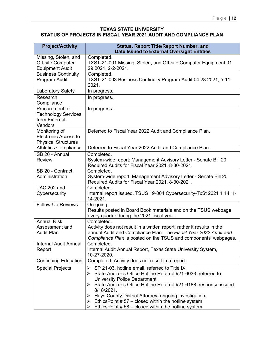#### **TEXAS STATE UNIVERSITY STATUS OF PROJECTS IN FISCAL YEAR 2021 AUDIT AND COMPLIANCE PLAN**

| <b>Project/Activity</b>                                                    | <b>Status, Report Title/Report Number, and</b><br><b>Date Issued to External Oversight Entities</b>                                                                                                                                                                                                                                                                                                                                            |
|----------------------------------------------------------------------------|------------------------------------------------------------------------------------------------------------------------------------------------------------------------------------------------------------------------------------------------------------------------------------------------------------------------------------------------------------------------------------------------------------------------------------------------|
| Missing, Stolen, and<br><b>Off-site Computer</b><br><b>Equipment Audit</b> | Completed.<br>TXST-21-001 Missing, Stolen, and Off-site Computer Equipment 01<br>29 2021, 2-2-2021.                                                                                                                                                                                                                                                                                                                                            |
| <b>Business Continuity</b><br>Program Audit                                | Completed.<br>TXST-21-003 Business Continuity Program Audit 04 28 2021, 5-11-<br>2021.                                                                                                                                                                                                                                                                                                                                                         |
| Laboratory Safety                                                          | In progress.                                                                                                                                                                                                                                                                                                                                                                                                                                   |
| Research<br>Compliance                                                     | In progress.                                                                                                                                                                                                                                                                                                                                                                                                                                   |
| Procurement of<br><b>Technology Services</b><br>from External<br>Vendors   | In progress.                                                                                                                                                                                                                                                                                                                                                                                                                                   |
| Monitoring of<br><b>Electronic Access to</b><br><b>Physical Structures</b> | Deferred to Fiscal Year 2022 Audit and Compliance Plan.                                                                                                                                                                                                                                                                                                                                                                                        |
| <b>Athletics Compliance</b>                                                | Deferred to Fiscal Year 2022 Audit and Compliance Plan.                                                                                                                                                                                                                                                                                                                                                                                        |
| SB 20 - Annual<br><b>Review</b>                                            | Completed.<br>System-wide report: Management Advisory Letter - Senate Bill 20<br>Required Audits for Fiscal Year 2021, 8-30-2021.                                                                                                                                                                                                                                                                                                              |
| SB 20 - Contract<br>Administration                                         | Completed.<br>System-wide report: Management Advisory Letter - Senate Bill 20<br>Required Audits for Fiscal Year 2021, 8-30-2021.                                                                                                                                                                                                                                                                                                              |
| <b>TAC 202 and</b><br>Cybersecurity                                        | Completed.<br>Internal report issued, TSUS 19-004 Cybersecurity-TxSt 2021 1 14, 1-<br>14-2021.                                                                                                                                                                                                                                                                                                                                                 |
| Follow-Up Reviews                                                          | On-going.<br>Results posted in Board Book materials and on the TSUS webpage<br>every quarter during the 2021 fiscal year.                                                                                                                                                                                                                                                                                                                      |
| <b>Annual Risk</b><br>Assessment and<br><b>Audit Plan</b>                  | Completed.<br>Activity does not result in a written report, rather it results in the<br>annual Audit and Compliance Plan. The Fiscal Year 2022 Audit and<br>Compliance Plan is posted on the TSUS and components' webpages.                                                                                                                                                                                                                    |
| Internal Audit Annual<br>Report                                            | Completed.<br>Internal Audit Annual Report, Texas State University System,<br>10-27-2020.                                                                                                                                                                                                                                                                                                                                                      |
| <b>Continuing Education</b>                                                | Completed. Activity does not result in a report.                                                                                                                                                                                                                                                                                                                                                                                               |
| <b>Special Projects</b>                                                    | SP 21-03, hotline email, referred to Title IX.<br>≻<br>State Auditor's Office Hotline Referral #21-6033, referred to<br>⋗<br>University Police Department.<br>State Auditor's Office Hotline Referral #21-6188, response issued<br>➤<br>8/18/2021.<br>Hays County District Attorney, ongoing investigation.<br>➤<br>EthicsPoint $# 57$ – closed within the hotline system.<br>➤<br>EthicsPoint $# 58 - closed$ within the hotline system.<br>➤ |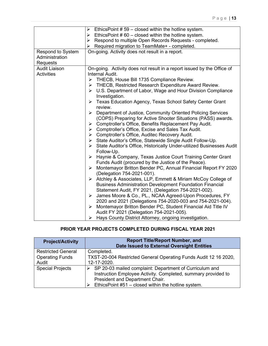|                      | Ethics Point # 59 – closed within the hotline system.                        |  |  |  |  |  |
|----------------------|------------------------------------------------------------------------------|--|--|--|--|--|
|                      | Ethics Point # 60 – closed within the hotline system.                        |  |  |  |  |  |
|                      | $\triangleright$ Respond to multiple Open Records Requests - completed.      |  |  |  |  |  |
|                      | Required migration to TeamMate+ - completed.<br>➤                            |  |  |  |  |  |
| Respond to System    | On-going. Activity does not result in a report.                              |  |  |  |  |  |
| Administration       |                                                                              |  |  |  |  |  |
| Requests             |                                                                              |  |  |  |  |  |
| <b>Audit Liaison</b> | On-going. Activity does not result in a report issued by the Office of       |  |  |  |  |  |
| <b>Activities</b>    | Internal Audit.                                                              |  |  |  |  |  |
|                      | THECB, House Bill 1735 Compliance Review.<br>➤                               |  |  |  |  |  |
|                      | THECB, Restricted Research Expenditure Award Review.<br>➤                    |  |  |  |  |  |
|                      | $\triangleright$ U.S. Department of Labor, Wage and Hour Division Compliance |  |  |  |  |  |
|                      | Investigation.                                                               |  |  |  |  |  |
|                      | Texas Education Agency, Texas School Safety Center Grant<br>➤                |  |  |  |  |  |
|                      | review.                                                                      |  |  |  |  |  |
|                      | > Department of Justice, Community Oriented Policing Services                |  |  |  |  |  |
|                      | (COPS) Preparing for Active Shooter Situations (PASS) awards.                |  |  |  |  |  |
|                      | > Comptroller's Office, Benefits Replacement Pay Audit.                      |  |  |  |  |  |
|                      | $\triangleright$ Comptroller's Office, Excise and Sales Tax Audit.           |  |  |  |  |  |
|                      | > Comptroller's Office, Auditec Recovery Audit.                              |  |  |  |  |  |
|                      | > State Auditor's Office, Statewide Single Audit Follow-Up.                  |  |  |  |  |  |
|                      | State Auditor's Office, Historically Under-utilized Businesses Audit<br>≻    |  |  |  |  |  |
|                      | Follow-Up.                                                                   |  |  |  |  |  |
|                      | > Haynie & Company, Texas Justice Court Training Center Grant                |  |  |  |  |  |
|                      | Funds Audit (procured by the Justice of the Peace).                          |  |  |  |  |  |
|                      | Montemayor Britton Bender PC, Annual Financial Report FY 2020<br>➤           |  |  |  |  |  |
|                      | (Delegation 754-2021-001).                                                   |  |  |  |  |  |
|                      | Atchley & Associates, LLP, Emmett & Miriam McCoy College of<br>➤             |  |  |  |  |  |
|                      | <b>Business Administration Development Foundation Financial</b>              |  |  |  |  |  |
|                      | Statement Audit, FY 2021, (Delegation 754-2021-002).                         |  |  |  |  |  |
|                      | James Moore & Co., PL., NCAA Agreed-Upon Procedures, FY<br>➤                 |  |  |  |  |  |
|                      | 2020 and 2021 (Delegations 754-2020-003 and 754-2021-004).                   |  |  |  |  |  |
|                      | > Montemayor Britton Bender PC, Student Financial Aid Title IV               |  |  |  |  |  |
|                      | Audit FY 2021 (Delegation 754-2021-005).                                     |  |  |  |  |  |
|                      | Hays County District Attorney, ongoing investigation.<br>➤                   |  |  |  |  |  |

# **PRIOR YEAR PROJECTS COMPLETED DURING FISCAL YEAR 2021**

| <b>Project/Activity</b>   | <b>Report Title/Report Number, and</b>                                   |
|---------------------------|--------------------------------------------------------------------------|
|                           | <b>Date Issued to External Oversight Entities</b>                        |
| <b>Restricted General</b> | Completed.                                                               |
| <b>Operating Funds</b>    | TXST-20-004 Restricted General Operating Funds Audit 12 16 2020,         |
| Audit                     | 12-17-2020.                                                              |
| <b>Special Projects</b>   | $\triangleright$ SP 20-03 mailed complaint: Department of Curriculum and |
|                           | Instruction Employee Activity. Completed, summary provided to            |
|                           | President and Department Chair.                                          |
|                           | EthicsPoint #51 - closed within the hotline system.                      |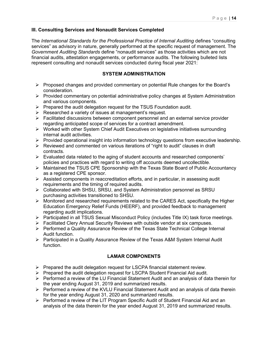#### **III. Consulting Services and Nonaudit Services Completed**

The *International Standards for the Professional Practice of Internal Auditing* defines "consulting services" as advisory in nature, generally performed at the specific request of management. The *Government Auditing Standards* define "nonaudit services" as those activities which are not financial audits, attestation engagements, or performance audits. The following bulleted lists represent consulting and nonaudit services conducted during fiscal year 2021:

#### **SYSTEM ADMINISTRATION**

- $\triangleright$  Proposed changes and provided commentary on potential Rule changes for the Board's consideration.
- $\triangleright$  Provided commentary on potential administrative policy changes at System Administration and various components.
- $\triangleright$  Prepared the audit delegation request for the TSUS Foundation audit.
- $\triangleright$  Researched a variety of issues at management's request.
- $\triangleright$  Facilitated discussions between component personnel and an external service provider regarding anticipated scope of services for a contract amendment.
- $\triangleright$  Worked with other System Chief Audit Executives on legislative initiatives surrounding internal audit activities.
- $\triangleright$  Provided operational insight into information technology questions from executive leadership.
- $\triangleright$  Reviewed and commented on various iterations of "right to audit" clauses in draft contracts.
- $\triangleright$  Evaluated data related to the aging of student accounts and researched components' policies and practices with regard to writing off accounts deemed uncollectible.
- $\triangleright$  Maintained the TSUS CPE Sponsorship with the Texas State Board of Public Accountancy as a registered CPE sponsor.
- $\triangleright$  Assisted components in reaccreditation efforts, and in particular, in assessing audit requirements and the timing of required audits.
- Collaborated with SHSU, SRSU, and System Administration personnel as SRSU purchasing activities transitioned to SHSU.
- $\triangleright$  Monitored and researched requirements related to the CARES Act, specifically the Higher Education Emergency Relief Funds (HEERF), and provided feedback to management regarding audit implications.
- $\triangleright$  Participated in all TSUS Sexual Misconduct Policy (includes Title IX) task force meetings.
- Facilitated Clery Annual Security Reviews with outside vendor at six campuses.
- $\triangleright$  Performed a Quality Assurance Review of the Texas State Technical College Internal Audit function.
- $\triangleright$  Participated in a Quality Assurance Review of the Texas A&M System Internal Audit function.

#### **LAMAR COMPONENTS**

- $\triangleright$  Prepared the audit delegation request for LSCPA financial statement review.
- $\triangleright$  Prepared the audit delegation request for LSCPA Student Financial Aid audit.
- $\triangleright$  Performed a review of the LU Financial Statement Audit and an analysis of data therein for the year ending August 31, 2019 and summarized results.
- $\triangleright$  Performed a review of the KVLU Financial Statement Audit and an analysis of data therein for the year ending August 31, 2020 and summarized results.
- ▶ Performed a review of the LIT Program Specific Audit of Student Financial Aid and an analysis of the data therein for the year ended August 31, 2019 and summarized results.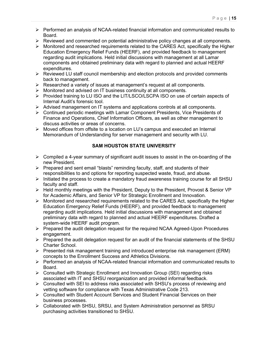- $\triangleright$  Performed an analysis of NCAA-related financial information and communicated results to Board.
- $\triangleright$  Reviewed and commented on potential administrative policy changes at all components.
- $\triangleright$  Monitored and researched requirements related to the CARES Act, specifically the Higher Education Emergency Relief Funds (HEERF), and provided feedback to management regarding audit implications. Held initial discussions with management at all Lamar components and obtained preliminary data with regard to planned and actual HEERF expenditures.
- $\triangleright$  Reviewed LU staff council membership and election protocols and provided comments back to management.
- $\triangleright$  Researched a variety of issues at management's request at all components.
- $\triangleright$  Monitored and advised on IT business continuity at all components.
- Provided training to LU ISO and the LIT/LSCO/LSCPA ISO on use of certain aspects of Internal Audit's forensic tool.
- $\triangleright$  Advised management on IT systems and applications controls at all components.
- $\triangleright$  Continued periodic meetings with Lamar Component Presidents, Vice Presidents of Finance and Operations, Chief Information Officers, as well as other management to discuss activities or areas of concerns.
- $\triangleright$  Moved offices from offsite to a location on LU's campus and executed an Internal Memorandum of Understanding for server management and security with LU.

#### **SAM HOUSTON STATE UNIVERSITY**

- $\triangleright$  Compiled a 4-year summary of significant audit issues to assist in the on-boarding of the new President.
- $\triangleright$  Prepared and sent email "blasts" reminding faculty, staff, and students of their responsibilities to and options for reporting suspected waste, fraud, and abuse.
- $\triangleright$  Initiated the process to create a mandatory fraud awareness training course for all SHSU faculty and staff.
- $\triangleright$  Held monthly meetings with the President, Deputy to the President, Provost & Senior VP for Academic Affairs, and Senior VP for Strategic Enrollment and Innovation.
- $\triangleright$  Monitored and researched requirements related to the CARES Act, specifically the Higher Education Emergency Relief Funds (HEERF), and provided feedback to management regarding audit implications. Held initial discussions with management and obtained preliminary data with regard to planned and actual HEERF expenditures. Drafted a system-wide HEERF audit program.
- $\triangleright$  Prepared the audit delegation request for the required NCAA Agreed-Upon Procedures engagement.
- $\triangleright$  Prepared the audit delegation request for an audit of the financial statements of the SHSU Charter School.
- $\triangleright$  Presented risk management training and introduced enterprise risk management (ERM) concepts to the Enrollment Success and Athletics Divisions.
- $\triangleright$  Performed an analysis of NCAA-related financial information and communicated results to Board.
- $\triangleright$  Consulted with Strategic Enrollment and Innovation Group (SEI) regarding risks associated with IT and SHSU reorganization and provided informal feedback.
- $\triangleright$  Consulted with SEI to address risks associated with SHSU's process of reviewing and vetting software for compliance with Texas Administrative Code 213.
- Consulted with Student Account Services and Student Financial Services on their business processes.
- Collaborated with SHSU, SRSU, and System Administration personnel as SRSU purchasing activities transitioned to SHSU.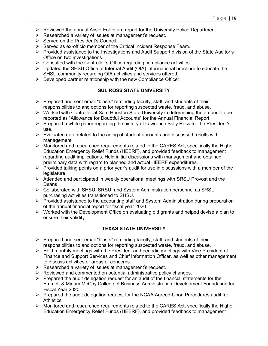- $\triangleright$  Reviewed the annual Asset Forfeiture report for the University Police Department.
- $\triangleright$  Researched a variety of issues at management's request.
- $\triangleright$  Served on the President's Council.
- $\triangleright$  Served as ex-officio member of the Critical Incident Response Team.
- $\triangleright$  Provided assistance to the Investigations and Audit Support division of the State Auditor's Office on two investigations.
- $\triangleright$  Consulted with the Controller's Office regarding compliance activities.
- $\triangleright$  Updated the SHSU Office of Internal Audit (OIA) informational brochure to educate the SHSU community regarding OIA activities and services offered.
- $\triangleright$  Developed partner relationship with the new Compliance Officer.

## **SUL ROSS STATE UNIVERSITY**

- $\triangleright$  Prepared and sent email "blasts" reminding faculty, staff, and students of their responsibilities to and options for reporting suspected waste, fraud, and abuse.
- $\triangleright$  Worked with Controller at Sam Houston State University in determining the amount to be reported as "Allowance for Doubtful Accounts" for the Annual Financial Report.
- $\triangleright$  Prepared a white paper regarding the history of Lawrence Sully Ross for the President's use.
- $\triangleright$  Evaluated data related to the aging of student accounts and discussed results with management.
- $\triangleright$  Monitored and researched requirements related to the CARES Act, specifically the Higher Education Emergency Relief Funds (HEERF), and provided feedback to management regarding audit implications. Held initial discussions with management and obtained preliminary data with regard to planned and actual HEERF expenditures.
- $\triangleright$  Provided talking points on a prior year's audit for use in discussions with a member of the legislature.
- $\triangleright$  Attended and participated in weekly operational meetings with SRSU Provost and the Deans.
- Collaborated with SHSU, SRSU, and System Administration personnel as SRSU purchasing activities transitioned to SHSU.
- $\triangleright$  Provided assistance to the accounting staff and System Administration during preparation of the annual financial report for fiscal year 2020.
- $\triangleright$  Worked with the Development Office on evaluating old grants and helped devise a plan to ensure their validity.

#### **TEXAS STATE UNIVERSITY**

- $\triangleright$  Prepared and sent email "blasts" reminding faculty, staff, and students of their responsibilities to and options for reporting suspected waste, fraud, and abuse.
- $\triangleright$  Held monthly meetings with the President and periodic meetings with Vice President of Finance and Support Services and Chief Information Officer, as well as other management to discuss activities or areas of concerns.
- $\triangleright$  Researched a variety of issues at management's request.
- $\triangleright$  Reviewed and commented on potential administrative policy changes.
- $\triangleright$  Prepared the audit delegation request for an audit of the financial statements for the Emmett & Miriam McCoy College of Business Administration Development Foundation for Fiscal Year 2020.
- $\triangleright$  Prepared the audit delegation request for the NCAA Agreed-Upon Procedures audit for Athletics.
- $\triangleright$  Monitored and researched requirements related to the CARES Act, specifically the Higher Education Emergency Relief Funds (HEERF), and provided feedback to management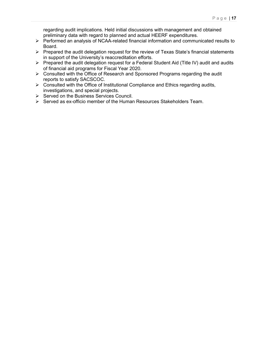regarding audit implications. Held initial discussions with management and obtained preliminary data with regard to planned and actual HEERF expenditures.

- Performed an analysis of NCAA-related financial information and communicated results to Board.
- $\triangleright$  Prepared the audit delegation request for the review of Texas State's financial statements in support of the University's reaccreditation efforts.
- $\triangleright$  Prepared the audit delegation request for a Federal Student Aid (Title IV) audit and audits of financial aid programs for Fiscal Year 2020.
- Consulted with the Office of Research and Sponsored Programs regarding the audit reports to satisfy SACSCOC.
- $\triangleright$  Consulted with the Office of Institutional Compliance and Ethics regarding audits, investigations, and special projects.
- $\triangleright$  Served on the Business Services Council.
- $\triangleright$  Served as ex-officio member of the Human Resources Stakeholders Team.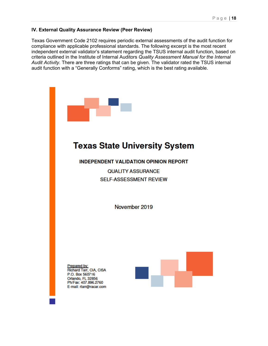#### **IV. External Quality Assurance Review (Peer Review)**

Texas Government Code 2102 requires periodic external assessments of the audit function for compliance with applicable professional standards. The following excerpt is the most recent independent external validator's statement regarding the TSUS internal audit function, based on criteria outlined in the Institute of Internal Auditors *Quality Assessment Manual for the Internal Audit Activity*. There are three ratings that can be given. The validator rated the TSUS internal audit function with a "Generally Conforms" rating, which is the best rating available.



# **Texas State University System**

**INDEPENDENT VALIDATION OPINION REPORT** 

**QUALITY ASSURANCE SELF-ASSESSMENT REVIEW** 

November 2019

Prepared by:<br>Richard Tarr, CIA, CISA P.O. Box 560716 Orlando, FL 32856 Ph/Fax: 407.896.2760 E-mail: rtarr@racar.com

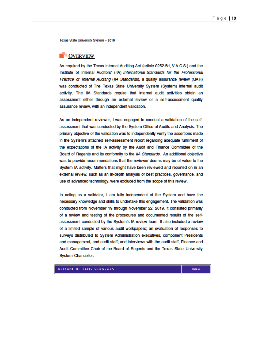Texas State University System - 2019

#### **DOVERVIEW**

As required by the Texas Internal Auditing Act (article 6252-5d, V.A.C.S.) and the Institute of Internal Auditors' (IIA) International Standards for the Professional Practice of Internal Auditing (IIA Standards), a quality assurance review (QAR) was conducted of The Texas State University System (System) internal audit activity. The IIA Standards require that internal audit activities obtain an assessment either through an external review or a self-assessment quality assurance review, with an independent validation.

As an independent reviewer, I was engaged to conduct a validation of the selfassessment that was conducted by the System Office of Audits and Analysis. The primary objective of the validation was to independently verify the assertions made in the System's attached self-assessment report regarding adequate fulfillment of the expectations of the IA activity by the Audit and Finance Committee of the Board of Regents and its conformity to the IIA Standards. An additional objective was to provide recommendations that the reviewer deems may be of value to the System IA activity. Matters that might have been reviewed and reported on in an external review, such as an in-depth analysis of best practices, governance, and use of advanced technology, were excluded from the scope of this review.

In acting as a validator, I am fully independent of the System and have the necessary knowledge and skills to undertake this engagement. The validation was conducted from November 19 through November 22, 2019. It consisted primarily of a review and testing of the procedures and documented results of the selfassessment conducted by the System's IA review team. It also included a review of a limited sample of various audit workpapers; an evaluation of responses to surveys distributed to System Administration executives, component Presidents and management, and audit staff; and interviews with the audit staff, Finance and Audit Committee Chair of the Board of Regents and the Texas State University System Chancellor.

#### Richard H. Tarr, CISA, CIA

Page 2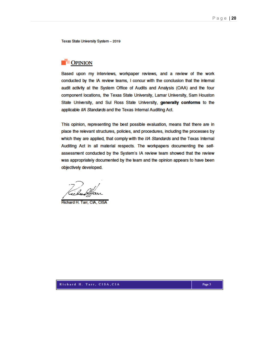Texas State University System - 2019

# **DPINION**

Based upon my interviews, workpaper reviews, and a review of the work conducted by the IA review teams, I concur with the conclusion that the internal audit activity at the System Office of Audits and Analysis (OAA) and the four component locations, the Texas State University, Lamar University, Sam Houston State University, and Sul Ross State University, generally conforms to the applicable IIA Standards and the Texas Internal Auditing Act.

This opinion, representing the best possible evaluation, means that there are in place the relevant structures, policies, and procedures, including the processes by which they are applied, that comply with the IIA Standards and the Texas Internal Auditing Act in all material respects. The workpapers documenting the selfassessment conducted by the System's IA review team showed that the review was appropriately documented by the team and the opinion appears to have been objectively developed.

Richard H. Tarr, CIA, CISA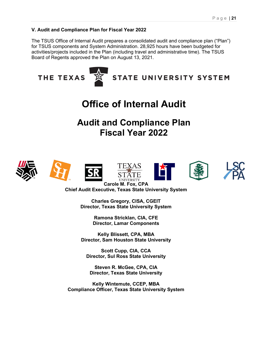#### **V. Audit and Compliance Plan for Fiscal Year 2022**

The TSUS Office of Internal Audit prepares a consolidated audit and compliance plan ("Plan") for TSUS components and System Administration. 28,925 hours have been budgeted for activities/projects included in the Plan (including travel and administrative time). The TSUS Board of Regents approved the Plan on August 13, 2021.



**Director, Sul Ross State University**

**Steven R. McGee, CPA, CIA Director, Texas State University**

**Kelly Wintemute, CCEP, MBA Compliance Officer, Texas State University System**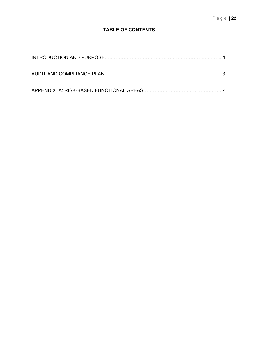# **TABLE OF CONTENTS**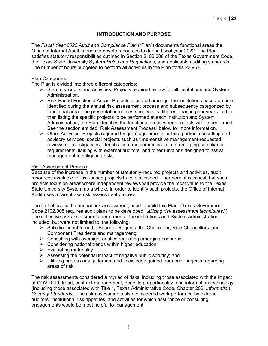#### **INTRODUCTION AND PURPOSE**

The *Fiscal Year 2022 Audit and Compliance Plan* ("Plan") documents functional areas the Office of Internal Audit intends to devote resources to during fiscal year 2022. The Plan satisfies statutory responsibilities outlined in Section 2102.008 of the Texas Government Code, the Texas State University System *Rules and Regulations*, and applicable auditing standards. The number of hours budgeted to perform all activities in the Plan totals 22,957.

#### Plan Categories

The Plan is divided into three different categories:

- $\triangleright$  Statutory Audits and Activities: Projects required by law for all institutions and System Administration.
- Risk-Based Functional Areas: Projects allocated amongst the institutions based on risks identified during the annual risk assessment process and subsequently categorized by functional area. The presentation of these projects is different than in prior years: rather than listing the specific projects to be performed at each institution and System Administration, the Plan identifies the functional areas where projects will be performed. See the section entitled "Risk Assessment Process" below for more information.
- $\triangleright$  Other Activities: Projects required by grant agreements or third parties; consulting and advisory services; special projects such as time-sensitive management-requested reviews or investigations; identification and communication of emerging compliance requirements; liaising with external auditors; and other functions designed to assist management in mitigating risks.

#### Risk Assessment Process

Because of the increase in the number of statutorily-required projects and activities, audit resources available for risk-based projects have diminished. Therefore, it is critical that such projects focus on areas where independent reviews will provide the most value to the Texas State University System as a whole. In order to identify such projects, the Office of Internal Audit uses a two-phase risk assessment process.

The first phase is the annual risk assessment, used to build this Plan. (Texas Government Code 2102.005 requires audit plans to be developed "*utilizing risk assessment techniques*.") The collective risk assessments performed at the institutions and System Administration included, but were not limited to, the following:

- $\triangleright$  Soliciting input from the Board of Regents, the Chancellor, Vice-Chancellors, and Component Presidents and management;
- $\triangleright$  Consulting with oversight entities regarding emerging concerns;
- $\triangleright$  Considering national trends within higher education;
- $\triangleright$  Evaluating materiality;
- $\triangleright$  Assessing the potential impact of negative public scrutiny; and
- $\triangleright$  Utilizing professional judgment and knowledge gained from prior projects regarding areas of risk.

The risk assessments considered a myriad of risks, including those associated with the impact of COVID-19, fraud, contract management, benefits proportionality, and information technology (including those associated with Title 1, Texas Administrative Code, Chapter 202, *Information Security Standards)*. The risk assessments also considered work performed by external auditors, institutional risk appetites, and activities for which assurance or consulting engagements would be most helpful to management.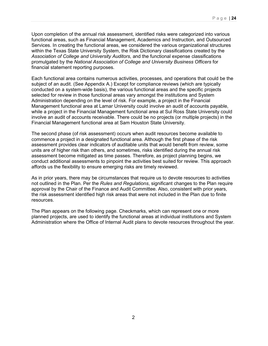Upon completion of the annual risk assessment, identified risks were categorized into various functional areas, such as Financial Management, Academics and Instruction, and Outsourced Services. In creating the functional areas, we considered the various organizational structures within the Texas State University System, the Risk Dictionary classifications created by the *Association of College and University Auditors*, and the functional expense classifications promulgated by the *National Association of College and University Business Officers* for financial statement reporting purposes.

Each functional area contains numerous activities, processes, and operations that could be the subject of an audit. (See Appendix A.) Except for compliance reviews (which are typically conducted on a system-wide basis), the various functional areas and the specific projects selected for review in those functional areas vary amongst the institutions and System Administration depending on the level of risk. For example, a project in the Financial Management functional area at Lamar University could involve an audit of accounts payable, while a project in the Financial Management functional area at Sul Ross State University could involve an audit of accounts receivable. There could be no projects (or multiple projects) in the Financial Management functional area at Sam Houston State University.

The second phase (of risk assessment) occurs when audit resources become available to commence a project in a designated functional area. Although the first phase of the risk assessment provides clear indicators of auditable units that would benefit from review, some units are of higher risk than others, and sometimes, risks identified during the annual risk assessment become mitigated as time passes. Therefore, as project planning begins, we conduct additional assessments to pinpoint the activities best suited for review. This approach affords us the flexibility to ensure emerging risks are timely reviewed.

As in prior years, there may be circumstances that require us to devote resources to activities not outlined in the Plan. Per the *Rules and Regulations*, significant changes to the Plan require approval by the Chair of the Finance and Audit Committee. Also, consistent with prior years, the risk assessment identified high risk areas that were not included in the Plan due to finite resources.

The Plan appears on the following page. Checkmarks, which can represent one or more planned projects, are used to identify the functional areas at individual institutions and System Administration where the Office of Internal Audit plans to devote resources throughout the year.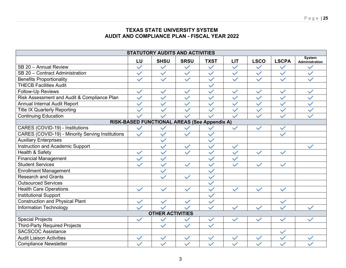# **TEXAS STATE UNIVERSITY SYSTEM AUDIT AND COMPLIANCE PLAN - FISCAL YEAR 2022**

| <b>STATUTORY AUDITS AND ACTIVITIES</b>           |              |              |              |              |              |              |              |                                 |
|--------------------------------------------------|--------------|--------------|--------------|--------------|--------------|--------------|--------------|---------------------------------|
|                                                  | LU           | <b>SHSU</b>  | <b>SRSU</b>  | <b>TXST</b>  | <b>LIT</b>   | <b>LSCO</b>  | <b>LSCPA</b> | <b>System</b><br>Administration |
| SB 20 - Annual Review                            | $\checkmark$ | $\checkmark$ | $\checkmark$ | $\checkmark$ | $\checkmark$ | $\checkmark$ | $\checkmark$ |                                 |
| SB 20 - Contract Administration                  | $\checkmark$ | $\checkmark$ | $\checkmark$ | $\checkmark$ | $\checkmark$ | $\checkmark$ | $\checkmark$ | $\checkmark$                    |
| <b>Benefits Proportionality</b>                  | $\checkmark$ | $\checkmark$ | $\checkmark$ | $\checkmark$ | $\checkmark$ | $\checkmark$ | $\checkmark$ |                                 |
| <b>THECB Facilities Audit</b>                    |              |              |              | $\checkmark$ |              |              |              |                                 |
| Follow-Up Reviews                                | $\checkmark$ | $\checkmark$ | $\checkmark$ | $\checkmark$ | $\checkmark$ | $\checkmark$ | $\checkmark$ | $\checkmark$                    |
| Risk Assessment and Audit & Compliance Plan      | $\checkmark$ | $\checkmark$ | $\checkmark$ | $\checkmark$ | $\checkmark$ | $\checkmark$ | $\checkmark$ | $\checkmark$                    |
| <b>Annual Internal Audit Report</b>              | $\checkmark$ | $\checkmark$ | $\checkmark$ | $\checkmark$ | $\checkmark$ | $\checkmark$ | $\checkmark$ | $\checkmark$                    |
| <b>Title IX Quarterly Reporting</b>              | $\checkmark$ | $\checkmark$ | $\checkmark$ | $\checkmark$ | $\checkmark$ | $\checkmark$ | $\checkmark$ | $\checkmark$                    |
| <b>Continuing Education</b>                      |              |              |              |              |              |              | $\checkmark$ |                                 |
| RISK-BASED FUNCTIONAL AREAS (See Appendix A)     |              |              |              |              |              |              |              |                                 |
| CARES (COVID-19) - Institutions                  | $\checkmark$ | $\checkmark$ |              |              | $\checkmark$ | $\checkmark$ | $\checkmark$ |                                 |
| CARES (COVID-19) - Minority Serving Institutions | $\checkmark$ | $\checkmark$ | $\checkmark$ | $\checkmark$ |              |              | $\checkmark$ |                                 |
| <b>Auxiliary Enterprises</b>                     |              | $\checkmark$ |              | $\checkmark$ |              |              |              |                                 |
| <b>Instruction and Academic Support</b>          |              | $\checkmark$ | $\checkmark$ | $\checkmark$ | $\checkmark$ |              |              |                                 |
| Health & Safety                                  | $\checkmark$ | $\checkmark$ | $\checkmark$ | $\checkmark$ | $\checkmark$ | $\checkmark$ | $\checkmark$ |                                 |
| <b>Financial Management</b>                      | $\checkmark$ | $\checkmark$ |              | $\checkmark$ | $\checkmark$ |              |              |                                 |
| <b>Student Services</b>                          | $\checkmark$ | $\checkmark$ | $\checkmark$ | $\checkmark$ | $\checkmark$ | $\checkmark$ | $\checkmark$ |                                 |
| <b>Enrollment Management</b>                     |              | $\checkmark$ |              | $\checkmark$ |              |              |              |                                 |
| <b>Research and Grants</b>                       |              | $\checkmark$ | $\checkmark$ | $\checkmark$ |              |              |              |                                 |
| <b>Outsourced Services</b>                       |              |              |              | $\checkmark$ |              |              |              |                                 |
| <b>Health Care Operations</b>                    | $\checkmark$ | $\checkmark$ | $\checkmark$ | $\checkmark$ | $\checkmark$ | $\checkmark$ | $\checkmark$ |                                 |
| <b>Institutional Support</b>                     |              |              |              | $\checkmark$ |              |              |              |                                 |
| <b>Construction and Physical Plant</b>           | $\checkmark$ | $\checkmark$ | $\checkmark$ | $\checkmark$ |              |              | $\checkmark$ |                                 |
| <b>Information Technology</b>                    | $\checkmark$ |              | $\checkmark$ | $\checkmark$ |              |              | $\checkmark$ |                                 |
| <b>OTHER ACTIVITIES</b>                          |              |              |              |              |              |              |              |                                 |
| <b>Special Projects</b>                          | $\checkmark$ | $\checkmark$ |              | $\checkmark$ | $\checkmark$ | $\checkmark$ | $\checkmark$ |                                 |
| <b>Third-Party Required Projects</b>             |              | $\checkmark$ | $\checkmark$ | $\checkmark$ |              |              |              |                                 |
| <b>SACSCOC Assistance</b>                        |              |              |              |              |              |              | $\checkmark$ |                                 |
| <b>Audit Liaison Activities</b>                  |              | $\checkmark$ | $\checkmark$ | $\checkmark$ | $\checkmark$ | $\checkmark$ | $\checkmark$ |                                 |
| <b>Compliance Newsletter</b>                     |              | $\checkmark$ | $\checkmark$ | $\checkmark$ |              |              | $\checkmark$ |                                 |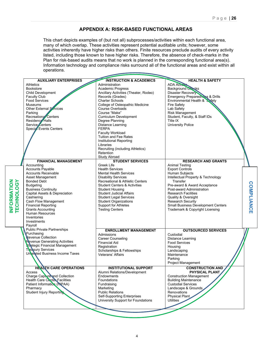#### **APPENDIX A: RISK-BASED FUNCTIONAL AREAS**

This chart depicts examples of (but not all) subprocesses/activities within each functional area, many of which overlap. These activities represent potential auditable units; however, some activities inherently have higher risks than others. Finite resources preclude audits of every activity listed, including those known to have higher risks. Therefore, the absence of check-marks in the Plan for risk-based audits means that no work is planned in the corresponding functional area(s). Information technology and compliance risks surround all of the functional areas and exist within all operations.

|                           | <b>AUXILIARY ENTERPRISES</b>                   | <b>INSTRUCTION &amp; ACADEMICS</b>      | <b>HEALTH &amp; SAFETY</b>                               |            |
|---------------------------|------------------------------------------------|-----------------------------------------|----------------------------------------------------------|------------|
|                           | <b>Athletics</b>                               | Administration                          | ADA Access                                               |            |
|                           | <b>Bookstore</b>                               | <b>Academic Progress</b>                | <b>Background Checks</b>                                 |            |
|                           | Child Development                              | Ancillary Activities (Theater, Rodeo)   | <b>Disaster Recovery</b>                                 |            |
|                           | <b>Faculty Club</b>                            | Records (Grades)                        | Emergency Preparedness & Drills                          |            |
|                           | <b>Food Services</b>                           | <b>Charter Schools</b>                  | Environmental Health & Safety                            |            |
|                           | <b>Museums</b>                                 | College of Osteopathic Medicine         | <b>Fire Safety</b>                                       |            |
|                           | Other External Services                        | Course Overloads                        | Lab Safety                                               |            |
|                           | Parking                                        | Course "Make"                           | <b>Risk Management</b>                                   |            |
|                           | Recreations Centers                            | <b>Curriculum Development</b>           | Student, Faculty, & Staff IDs                            |            |
|                           | Residence Halls                                | Degree Planning                         | Title IX                                                 |            |
|                           | Service Centers                                | <b>Distance Learning</b>                | <b>University Police</b>                                 |            |
|                           | <b>Special Events Centers</b>                  | <b>FERPA</b>                            |                                                          |            |
|                           |                                                | <b>Faculty Workload</b>                 |                                                          |            |
|                           |                                                | <b>Tuition and Fee Rates</b>            |                                                          |            |
|                           |                                                | Institutional Reporting                 |                                                          |            |
|                           |                                                |                                         |                                                          |            |
|                           |                                                | Libraries                               |                                                          |            |
|                           |                                                | Recruiting (including Athletics)        |                                                          |            |
|                           |                                                | Retention                               |                                                          |            |
|                           |                                                | Study Abroad                            |                                                          |            |
|                           | <b>FINANCIAL MANAGEMENT</b>                    | <b>STUDENT SERVICES</b>                 | <b>RESEARCH AND GRANTS</b>                               |            |
|                           | Accounting                                     | Greek Life                              | <b>Animal Testing</b>                                    |            |
|                           | Accounts Payable                               | <b>Health Services</b>                  | Export Controls                                          |            |
|                           | <b>Accounts Receivable</b>                     | <b>Mental Health Services</b>           | Human Subjects                                           |            |
|                           | Asset Management                               | <b>Disability Services</b>              | Intellectual Property & Technology                       |            |
| INFORMATION<br>TECHNOLOGY | <b>Bonded Debt</b>                             | Recreational & Athletic Centers         | Transfer                                                 |            |
|                           | <b>Budgeting</b>                               | <b>Student Centers &amp; Activities</b> | Pre-award & Award Acceptance                             | COMPLIANCE |
|                           | <b>Business Continuity</b>                     | <b>Student Housing</b>                  | Post-award Administration                                |            |
|                           | Capital Assets & Depreciation                  | Student Judicial Affairs                | <b>Research Facilities</b>                               |            |
|                           | Cashiering                                     | <b>Student Legal Services</b>           | Quality & Oversight                                      |            |
|                           | Cash Flow Management                           | <b>Student Organizations</b>            | <b>Research Security</b>                                 |            |
|                           | <b>Financial Reporting</b>                     | <b>Support for Athletes</b>             | Small Business Development Centers                       |            |
|                           | <b>Grants Accounting</b>                       | <b>Testing Centers</b>                  | Trademark & Copyright Licensing                          |            |
|                           | Human Resources                                |                                         |                                                          |            |
|                           | Inventories                                    |                                         |                                                          |            |
|                           | Investments                                    |                                         |                                                          |            |
|                           | Payroll                                        |                                         |                                                          |            |
|                           | <b>Public Private Partnerships</b>             |                                         |                                                          |            |
|                           | Purchasing                                     | <b>ENROLLMENT MANAGEMENT</b>            | <b>OUTSOURCED SERVICES</b>                               |            |
|                           | <b>Revenue Collection</b>                      | Admissions                              | Custodial                                                |            |
|                           | <b>Revenue Generating Activities</b>           | <b>Career Counseling</b>                | <b>Distance Learning</b>                                 |            |
|                           | Strategic Financial Management                 | Financial Aid                           | <b>Food Services</b>                                     |            |
|                           | The sury Services                              | Registration                            | Housing                                                  |            |
|                           |                                                | Scholarships & Fellowships              | Landscaping                                              |            |
|                           | Unterated Business Income Taxes                | Veterans' Affairs                       | Maintenance                                              |            |
|                           |                                                |                                         | Parking                                                  |            |
|                           |                                                |                                         | Project Management                                       |            |
|                           | <b>HEALTH CARE OPERATIONS</b>                  | <b>INSTITUTIONAL SUPPORT</b>            | <b>CONSTRUCTION AND</b>                                  |            |
|                           |                                                | Alumni Relations/Development            |                                                          |            |
|                           | Access<br><b>Charge Capture and Collection</b> | Endowments                              | <b>PHYSICAL PLANT</b><br><b>Construction Management</b>  |            |
|                           | <b>Health Care Center Facilities</b>           |                                         |                                                          |            |
|                           | Patient Information (PNPAA)                    | Foundations                             | <b>Building Maintenance</b><br><b>Custodial Services</b> |            |
|                           |                                                | Fundraising                             |                                                          |            |
|                           | Pharmacy                                       | Marketing                               | Landscape & Grounds                                      |            |
|                           | Student Injury Reporting                       | <b>Public Relations</b>                 | Renovations                                              |            |
|                           |                                                | <b>Self-Supporting Enterprises</b>      | Physical Plant                                           |            |
|                           |                                                | University Support for Foundations      | <b>Utilities</b>                                         |            |
|                           |                                                |                                         |                                                          |            |
|                           |                                                |                                         |                                                          |            |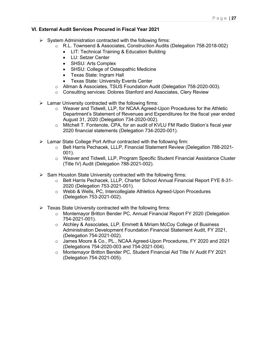#### **VI. External Audit Services Procured in Fiscal Year 2021**

- $\triangleright$  System Administration contracted with the following firms:
	- o R.L. Townsend & Associates, Construction Audits (Delegation 758-2018-002)
		- LIT: Technical Training & Education Building
		- LU: Setzer Center
		- SHSU: Arts Complex
		- SHSU: College of Osteopathic Medicine
		- Texas State: Ingram Hall
		- Texas State: University Events Center
	- o Allman & Associates, TSUS Foundation Audit (Delegation 758-2020-003).
	- o Consulting services: Dolores Stanford and Associates, Clery Review
- $\triangleright$  Lamar University contracted with the following firms:
	- $\circ$  Weaver and Tidwell, LLP, for NCAA Agreed-Upon Procedures for the Athletic Department's Statement of Revenues and Expenditures for the fiscal year ended August 31, 2020 (Delegation 734-2020-002).
	- o Mitchell T. Fontenote, CPA, for an audit of KVLU FM Radio Station's fiscal year 2020 financial statements (Delegation 734-2020-001).
- $\triangleright$  Lamar State College Port Arthur contracted with the following firm:
	- o Belt Harris Pechacek, LLLP, Financial Statement Review (Delegation 788-2021- 001).
	- o Weaver and Tidwell, LLP, Program Specific Student Financial Assistance Cluster (Title IV) Audit (Delegation 788-2021-002).
- $\triangleright$  Sam Houston State University contracted with the following firms:
	- o Belt Harris Pechacek, LLLP, Charter School Annual Financial Report FYE 8-31- 2020 (Delegation 753-2021-001).
	- o Webb & Wells, PC, Intercollegiate Athletics Agreed-Upon Procedures (Delegation 753-2021-002).
- $\triangleright$  Texas State University contracted with the following firms:
	- o Montemayor Britton Bender PC, Annual Financial Report FY 2020 (Delegation 754-2021-001).
	- o Atchley & Associates, LLP, Emmett & Miriam McCoy College of Business Administration Development Foundation Financial Statement Audit, FY 2021, (Delegation 754-2021-002).
	- o James Moore & Co., PL., NCAA Agreed-Upon Procedures, FY 2020 and 2021 (Delegations 754-2020-003 and 754-2021-004).
	- o Montemayor Britton Bender PC, Student Financial Aid Title IV Audit FY 2021 (Delegation 754-2021-005).